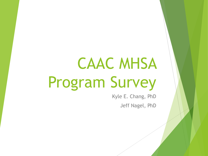# CAAC MHSA Program Survey

Kyle E. Chang, PhD Jeff Nagel, PhD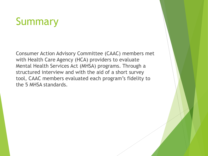# Summary

Consumer Action Advisory Committee (CAAC) members met with Health Care Agency (HCA) providers to evaluate Mental Health Services Act (MHSA) programs. Through a structured interview and with the aid of a short survey tool, CAAC members evaluated each program's fidelity to the 5 MHSA standards.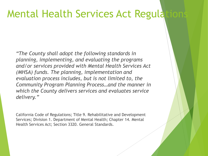#### Mental Health Services Act Regulat

*"The County shall adopt the following standards in planning, implementing, and evaluating the programs and/or services provided with Mental Health Services Act (MHSA) funds. The planning, implementation and evaluation process includes, but is not limited to, the Community Program Planning Process…and the manner in which the County delivers services and evaluates service delivery."* 

California Code of Regulations; Title 9. Rehabilitative and Development Services; Division 1. Department of Mental Health; Chapter 14. Mental Health Services Act; Section 3320. General Standards.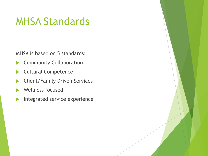#### MHSA Standards

MHSA is based on 5 standards:

- Community Collaboration
- Cultural Competence
- Client/Family Driven Services
- Wellness focused
- Integrated service experience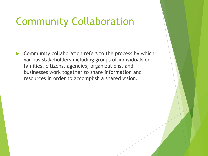#### Community Collaboration

 $\triangleright$  Community collaboration refers to the process by which various stakeholders including groups of individuals or families, citizens, agencies, organizations, and businesses work together to share information and resources in order to accomplish a shared vision.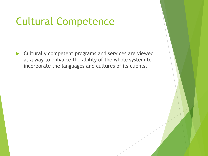# Cultural Competence

 Culturally competent programs and services are viewed as a way to enhance the ability of the whole system to incorporate the languages and cultures of its clients.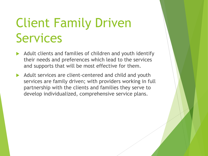# Client Family Driven Services

- Adult clients and families of children and youth identify their needs and preferences which lead to the services and supports that will be most effective for them.
- Adult services are client-centered and child and youth services are family driven; with providers working in full partnership with the clients and families they serve to develop individualized, comprehensive service plans.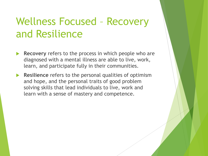# Wellness Focused – Recovery and Resilience

- **Recovery** refers to the process in which people who are diagnosed with a mental illness are able to live, work, learn, and participate fully in their communities.
- **Resilience** refers to the personal qualities of optimism and hope, and the personal traits of good problem solving skills that lead individuals to live, work and learn with a sense of mastery and competence.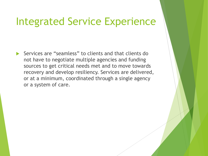#### Integrated Service Experience

 Services are "seamless" to clients and that clients do not have to negotiate multiple agencies and funding sources to get critical needs met and to move towards recovery and develop resiliency. Services are delivered, or at a minimum, coordinated through a single agency or a system of care.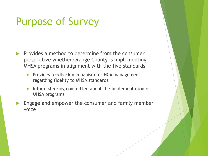# Purpose of Survey

- Provides a method to determine from the consumer perspective whether Orange County is implementing MHSA programs in alignment with the five standards
	- $\blacktriangleright$  Provides feedback mechanism for HCA management regarding fidelity to MHSA standards
	- Inform steering committee about the implementation of MHSA programs
- Engage and empower the consumer and family member voice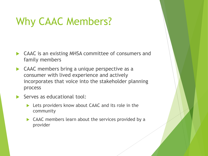#### Why CAAC Members?

- CAAC is an existing MHSA committee of consumers and family members
- ▶ CAAC members bring a unique perspective as a consumer with lived experience and actively incorporates that voice into the stakeholder planning process
- Serves as educational tool:
	- Lets providers know about CAAC and its role in the community
	- ▶ CAAC members learn about the services provided by a provider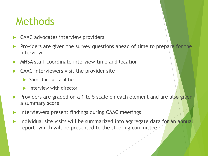#### Methods

- CAAC advocates interview providers
- Providers are given the survey questions ahead of time to prepare for the interview
- MHSA staff coordinate interview time and location
- CAAC interviewers visit the provider site
	- $\blacktriangleright$  Short tour of facilities
	- Interview with director
- Providers are graded on a 1 to 5 scale on each element and are also given a summary score
- Interviewers present findings during CAAC meetings
- Individual site visits will be summarized into aggregate data for an annual report, which will be presented to the steering committee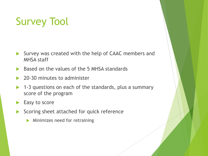# Survey Tool

- Survey was created with the help of CAAC members and MHSA staff
- Based on the values of the 5 MHSA standards
- 20-30 minutes to administer
- 1-3 questions on each of the standards, plus a summary score of the program
- Easy to score
- Scoring sheet attached for quick reference
	- **Minimizes need for retraining**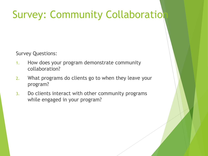# **Survey: Community Collaboration**

Survey Questions:

- 1. How does your program demonstrate community collaboration?
- 2. What programs do clients go to when they leave your program?
- 3. Do clients interact with other community programs while engaged in your program?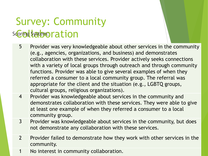# Survey: Community scoring System: Collaboration

- 5 Provider was very knowledgeable about other services in the community (e.g., agencies, organizations, and business) and demonstrates collaboration with these services. Provider actively seeks connections with a variety of local groups through outreach and through community functions. Provider was able to give several examples of when they referred a consumer to a local community group. The referral was appropriate for the client and the situation (e.g., LGBTQ groups, cultural groups, religious organizations).
- 4 Provider was knowledgeable about services in the community and demonstrates collaboration with these services. They were able to give at least one example of when they referred a consumer to a local community group.
- 3 Provider was knowledgeable about services in the community, but does not demonstrate any collaboration with these services.
- 2 Provider failed to demonstrate how they work with other services in the community.
- 1 No interest in community collaboration.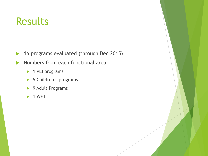#### Results

- ▶ 16 programs evaluated (through Dec 2015)
- Numbers from each functional area
	- ▶ 1 PEI programs
	- ▶ 5 Children's programs
	- ▶ 9 Adult Programs
	- $\blacktriangleright$  1 WET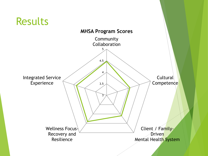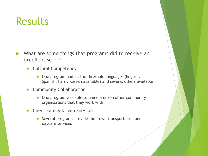#### **Results**

- ▶ What are some things that programs did to receive an excellent score?
	- Cultural Competency
		- ▶ One program had all the threshold languages (English, Spanish, Farsi, Korean available) and several others available
	- Community Collaboration
		- ▶ One program was able to name a dozen other community organizations that they work with
	- **Client Family Driven Services** 
		- Several programs provide their own transportation and daycare services